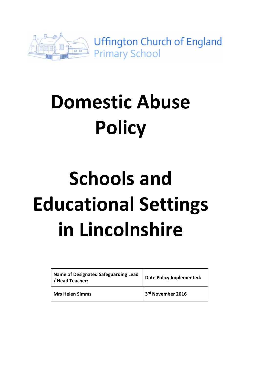

# Domestic Abuse **Policy**

# Schools and Educational Settings in Lincolnshire

| <b>Name of Designated Safeguarding Lead</b><br>/ Head Teacher: | <b>Date Policy Implemented:</b> |
|----------------------------------------------------------------|---------------------------------|
| <b>Mrs Helen Simms</b>                                         | 3rd November 2016               |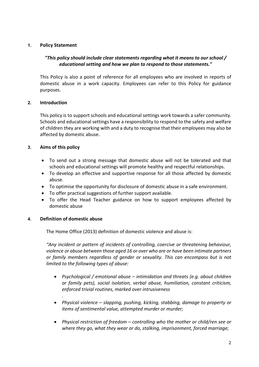# 1. Policy Statement

# "This policy should include clear statements regarding what it means to our school / educational setting and how we plan to respond to those statements."

This Policy is also a point of reference for all employees who are involved in reports of domestic abuse in a work capacity. Employees can refer to this Policy for guidance purposes.

## 2. Introduction

This policy is to support schools and educational settings work towards a safer community. Schools and educational settings have a responsibility to respond to the safety and welfare of children they are working with and a duty to recognise that their employees may also be affected by domestic abuse.

## 3. Aims of this policy

- To send out a strong message that domestic abuse will not be tolerated and that schools and educational settings will promote healthy and respectful relationships.
- To develop an effective and supportive response for all those affected by domestic abuse.
- To optimise the opportunity for disclosure of domestic abuse in a safe environment.
- To offer practical suggestions of further support available.
- To offer the Head Teacher guidance on how to support employees affected by domestic abuse

#### 4. Definition of domestic abuse

.

The Home Office (2013) definition of domestic violence and abuse is:

"Any incident or pattern of incidents of controlling, coercive or threatening behaviour, violence or abuse between those aged 16 or over who are or have been intimate partners or family members regardless of gender or sexuality. This can encompass but is not limited to the following types of abuse:

- Psychological / emotional abuse intimidation and threats (e.g. about children or family pets), social isolation, verbal abuse, humiliation, constant criticism, enforced trivial routines, marked over intrusiveness
- Physical violence slapping, pushing, kicking, stabbing, damage to property or items of sentimental value, attempted murder or murder;
- Physical restriction of freedom controlling who the mother or child/ren see or where they go, what they wear or do, stalking, imprisonment, forced marriage;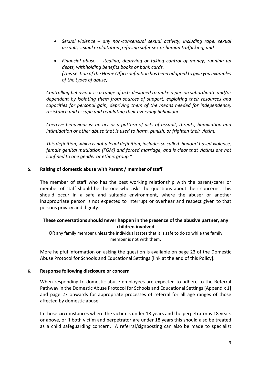- Sexual violence any non-consensual sexual activity, including rape, sexual assault, sexual exploitation ,refusing safer sex or human trafficking; and
- Financial abuse stealing, depriving or taking control of money, running up debts, withholding benefits books or bank cards. (This section of the Home Office definition has been adapted to give you examples of the types of abuse)

Controlling behaviour is: a range of acts designed to make a person subordinate and/or dependent by isolating them from sources of support, exploiting their resources and capacities for personal gain, depriving them of the means needed for independence, resistance and escape and regulating their everyday behaviour.

Coercive behaviour is: an act or a pattern of acts of assault, threats, humiliation and intimidation or other abuse that is used to harm, punish, or frighten their victim.

This definition, which is not a legal definition, includes so called 'honour' based violence, female genital mutilation (FGM) and forced marriage, and is clear that victims are not confined to one gender or ethnic group."

## 5. Raising of domestic abuse with Parent / member of staff

The member of staff who has the best working relationship with the parent/carer or member of staff should be the one who asks the questions about their concerns. This should occur in a safe and suitable environment, where the abuser or another inappropriate person is not expected to interrupt or overhear and respect given to that persons privacy and dignity.

# These conversations should never happen in the presence of the abusive partner, any children involved

OR any family member unless the individual states that it is safe to do so while the family member is not with them.

More helpful information on asking the question is available on page 23 of the Domestic Abuse Protocol for Schools and Educational Settings [link at the end of this Policy].

#### 6. Response following disclosure or concern

When responding to domestic abuse employees are expected to adhere to the Referral Pathway in the Domestic Abuse Protocol for Schools and Educational Settings [Appendix 1] and page 27 onwards for appropriate processes of referral for all age ranges of those affected by domestic abuse.

In those circumstances where the victim is under 18 years and the perpetrator is 18 years or above, or if both victim and perpetrator are under 18 years this should also be treated as a child safeguarding concern. A referral/signposting can also be made to specialist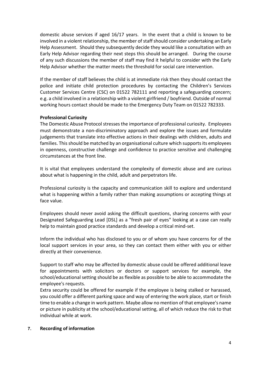domestic abuse services if aged 16/17 years. In the event that a child is known to be involved in a violent relationship, the member of staff should consider undertaking an Early Help Assessment. Should they subsequently decide they would like a consultation with an Early Help Advisor regarding their next steps this should be arranged. During the course of any such discussions the member of staff may find it helpful to consider with the Early Help Advisor whether the matter meets the threshold for social care intervention.

If the member of staff believes the child is at immediate risk then they should contact the police and initiate child protection procedures by contacting the Children's Services Customer Services Centre (CSC) on 01522 782111 and reporting a safeguarding concern; e.g. a child involved in a relationship with a violent girlfriend / boyfriend. Outside of normal working hours contact should be made to the Emergency Duty Team on 01522 782333.

# Professional Curiosity

The Domestic Abuse Protocol stresses the importance of professional curiosity. Employees must demonstrate a non-discriminatory approach and explore the issues and formulate judgements that translate into effective actions in their dealings with children, adults and families. This should be matched by an organisational culture which supports its employees in openness, constructive challenge and confidence to practice sensitive and challenging circumstances at the front line.

It is vital that employees understand the complexity of domestic abuse and are curious about what is happening in the child, adult and perpetrators life.

Professional curiosity is the capacity and communication skill to explore and understand what is happening within a family rather than making assumptions or accepting things at face value.

Employees should never avoid asking the difficult questions, sharing concerns with your Designated Safeguarding Lead [DSL] as a "fresh pair of eyes" looking at a case can really help to maintain good practice standards and develop a critical mind-set.

Inform the individual who has disclosed to you or of whom you have concerns for of the local support services in your area, so they can contact them either with you or either directly at their convenience.

Support to staff who may be affected by domestic abuse could be offered additional leave for appointments with solicitors or doctors or support services for example, the school/educational setting should be as flexible as possible to be able to accommodate the employee's requests.

Extra security could be offered for example if the employee is being stalked or harassed, you could offer a different parking space and way of entering the work place, start or finish time to enable a change in work pattern. Maybe allow no mention of that employee's name or picture in publicity at the school/educational setting, all of which reduce the risk to that individual while at work.

#### 7. Recording of information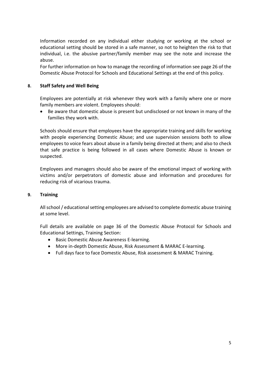Information recorded on any individual either studying or working at the school or educational setting should be stored in a safe manner, so not to heighten the risk to that individual, i.e. the abusive partner/family member may see the note and increase the abuse.

For further information on how to manage the recording of information see page 26 of the Domestic Abuse Protocol for Schools and Educational Settings at the end of this policy.

## 8. Staff Safety and Well Being

Employees are potentially at risk whenever they work with a family where one or more family members are violent. Employees should:

 Be aware that domestic abuse is present but undisclosed or not known in many of the families they work with.

Schools should ensure that employees have the appropriate training and skills for working with people experiencing Domestic Abuse; and use supervision sessions both to allow employees to voice fears about abuse in a family being directed at them; and also to check that safe practice is being followed in all cases where Domestic Abuse is known or suspected.

Employees and managers should also be aware of the emotional impact of working with victims and/or perpetrators of domestic abuse and information and procedures for reducing risk of vicarious trauma.

#### 9. Training

All school / educational setting employees are advised to complete domestic abuse training at some level.

Full details are available on page 36 of the Domestic Abuse Protocol for Schools and Educational Settings, Training Section:

- Basic Domestic Abuse Awareness E-learning.
- More in-depth Domestic Abuse, Risk Assessment & MARAC E-learning.
- Full days face to face Domestic Abuse, Risk assessment & MARAC Training.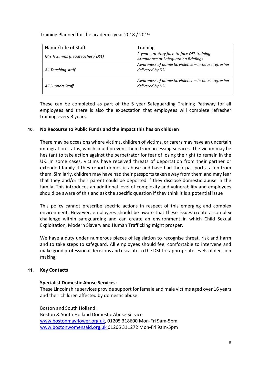Training Planned for the academic year 2018 / 2019

| Name/Title of Staff             | <b>Training</b>                                                                    |
|---------------------------------|------------------------------------------------------------------------------------|
| Mrs H Simms (headteacher / DSL) | 2-year statutory face-to-face DSL training<br>Attendance at Safeguarding Briefings |
| All Teaching staff              | Awareness of domestic violence - in-house refresher<br>delivered by DSL            |
| All Support Staff               | Awareness of domestic violence – in-house refresher<br>delivered by DSL            |

These can be completed as part of the 5 year Safeguarding Training Pathway for all employees and there is also the expectation that employees will complete refresher training every 3 years.

## 10. No Recourse to Public Funds and the impact this has on children

There may be occasions where victims, children of victims, or carers may have an uncertain immigration status, which could prevent them from accessing services. The victim may be hesitant to take action against the perpetrator for fear of losing the right to remain in the UK. In some cases, victims have received threats of deportation from their partner or extended family if they report domestic abuse and have had their passports taken from them. Similarly, children may have had their passports taken away from them and may fear that they and/or their parent could be deported if they disclose domestic abuse in the family. This introduces an additional level of complexity and vulnerability and employees should be aware of this and ask the specific question if they think it is a potential issue

This policy cannot prescribe specific actions in respect of this emerging and complex environment. However, employees should be aware that these issues create a complex challenge within safeguarding and can create an environment in which Child Sexual Exploitation, Modern Slavery and Human Trafficking might prosper.

We have a duty under numerous pieces of legislation to recognise threat, risk and harm and to take steps to safeguard. All employees should feel comfortable to intervene and make good professional decisions and escalate to the DSL for appropriate levels of decision making.

# 11. Key Contacts

#### Specialist Domestic Abuse Services:

These Lincolnshire services provide support for female and male victims aged over 16 years and their children affected by domestic abuse.

Boston and South Holland: Boston & South Holland Domestic Abuse Service www.bostonmayflower.org.uk, 01205 318600 Mon-Fri 9am-5pm www.bostonwomensaid.org.uk 01205 311272 Mon-Fri 9am-5pm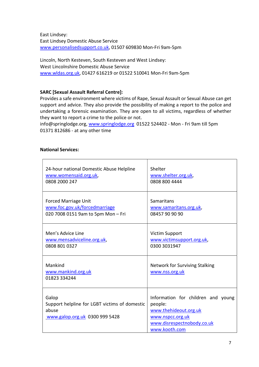East Lindsey: East Lindsey Domestic Abuse Service www.personalisedsupport.co.uk, 01507 609830 Mon-Fri 9am-5pm

Lincoln, North Kesteven, South Kesteven and West Lindsey: West Lincolnshire Domestic Abuse Service www.wldas.org.uk, 01427 616219 or 01522 510041 Mon-Fri 9am-5pm

# SARC [Sexual Assault Referral Centre]:

Provides a safe environment where victims of Rape, Sexual Assault or Sexual Abuse can get support and advice. They also provide the possibility of making a report to the police and undertaking a forensic examination. They are open to all victims, regardless of whether they want to report a crime to the police or not.

info@springlodge.org, www.springlodge.org 01522 524402 - Mon - Fri 9am till 5pm 01371 812686 - at any other time

# National Services:

| 24-hour national Domestic Abuse Helpline                                                          | Shelter                                                                                                                                   |
|---------------------------------------------------------------------------------------------------|-------------------------------------------------------------------------------------------------------------------------------------------|
| www.womensaid.org.uk,                                                                             | www.shelter.org.uk,                                                                                                                       |
| 0808 2000 247                                                                                     | 0808 800 4444                                                                                                                             |
| <b>Forced Marriage Unit</b>                                                                       | Samaritans                                                                                                                                |
| www.foc.gov.uk/forcedmarriage                                                                     | www.samaritans.org.uk,                                                                                                                    |
| 020 7008 0151 9am to 5pm Mon - Fri                                                                | 08457 90 90 90                                                                                                                            |
| Men's Advice Line                                                                                 | <b>Victim Support</b>                                                                                                                     |
| www.mensadviceline.org.uk,                                                                        | www.victimsupport.org.uk,                                                                                                                 |
| 0808 801 0327                                                                                     | 0300 3031947                                                                                                                              |
| Mankind<br>www.mankind.org.uk<br>01823 334244                                                     | <b>Network for Surviving Stalking</b><br>www.nss.org.uk                                                                                   |
| Galop<br>Support helpline for LGBT victims of domestic<br>abuse<br>www.galop.org.uk 0300 999 5428 | Information for children and young<br>people:<br>www.thehideout.org.uk<br>www.nspcc.org.uk<br>www.disrespectnobody.co.uk<br>www.kooth.com |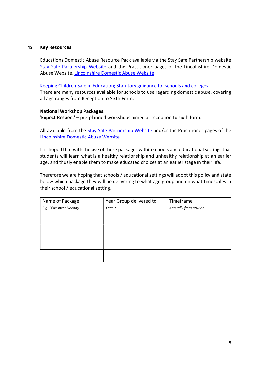#### 12. Key Resources

Educations Domestic Abuse Resource Pack available via the Stay Safe Partnership website Stay Safe Partnership Website and the Practitioner pages of the Lincolnshire Domestic Abuse Website. Lincolnshire Domestic Abuse Website

Keeping Children Safe in Education; Statutory guidance for schools and colleges

There are many resources available for schools to use regarding domestic abuse, covering all age ranges from Reception to Sixth Form.

## National Workshop Packages:

'Expect Respect' – pre-planned workshops aimed at reception to sixth form.

All available from the Stay Safe Partnership Website and/or the Practitioner pages of the Lincolnshire Domestic Abuse Website

It is hoped that with the use of these packages within schools and educational settings that students will learn what is a healthy relationship and unhealthy relationship at an earlier age, and thusly enable them to make educated choices at an earlier stage in their life.

Therefore we are hoping that schools / educational settings will adopt this policy and state below which package they will be delivering to what age group and on what timescales in their school / educational setting.

| Name of Package        | Year Group delivered to | Timeframe            |
|------------------------|-------------------------|----------------------|
| E.g. Disrespect Nobody | Year 9                  | Annually from now on |
|                        |                         |                      |
|                        |                         |                      |
|                        |                         |                      |
|                        |                         |                      |
|                        |                         |                      |
|                        |                         |                      |
|                        |                         |                      |
|                        |                         |                      |